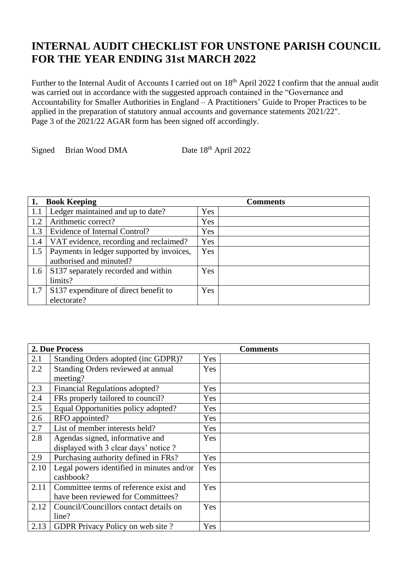## **INTERNAL AUDIT CHECKLIST FOR UNSTONE PARISH COUNCIL FOR THE YEAR ENDING 31st MARCH 2022**

Further to the Internal Audit of Accounts I carried out on 18<sup>th</sup> April 2022 I confirm that the annual audit was carried out in accordance with the suggested approach contained in the "Governance and Accountability for Smaller Authorities in England – A Practitioners' Guide to Proper Practices to be applied in the preparation of statutory annual accounts and governance statements 2021/22". Page 3 of the 2021/22 AGAR form has been signed off accordingly.

Signed Brian Wood DMA Date 18<sup>th</sup> April 2022

| 1.                | <b>Book Keeping</b>                       |            | <b>Comments</b> |
|-------------------|-------------------------------------------|------------|-----------------|
| 1.1               | Ledger maintained and up to date?         | Yes        |                 |
| 1.2               | Arithmetic correct?                       | Yes        |                 |
| 1.3               | Evidence of Internal Control?             | Yes        |                 |
| 1.4               | VAT evidence, recording and reclaimed?    | Yes        |                 |
| 1.5               | Payments in ledger supported by invoices, | Yes        |                 |
|                   | authorised and minuted?                   |            |                 |
| 1.6               | S137 separately recorded and within       | <b>Yes</b> |                 |
|                   | limits?                                   |            |                 |
| $\vert 1.7 \vert$ | S137 expenditure of direct benefit to     | <b>Yes</b> |                 |
|                   | electorate?                               |            |                 |

| 2. Due Process |                                           | <b>Comments</b> |
|----------------|-------------------------------------------|-----------------|
| 2.1            | Standing Orders adopted (inc GDPR)?       | Yes             |
| 2.2            | Standing Orders reviewed at annual        | Yes             |
|                | meeting?                                  |                 |
| 2.3            | Financial Regulations adopted?            | Yes             |
| 2.4            | FRs properly tailored to council?         | Yes             |
| 2.5            | Equal Opportunities policy adopted?       | Yes             |
| 2.6            | RFO appointed?                            | Yes             |
| 2.7            | List of member interests held?            | Yes             |
| 2.8            | Agendas signed, informative and           | Yes             |
|                | displayed with 3 clear days' notice ?     |                 |
| 2.9            | Purchasing authority defined in FRs?      | Yes             |
| 2.10           | Legal powers identified in minutes and/or | Yes             |
|                | cashbook?                                 |                 |
| 2.11           | Committee terms of reference exist and    | Yes             |
|                | have been reviewed for Committees?        |                 |
| 2.12           | Council/Councillors contact details on    | Yes             |
|                | line?                                     |                 |
| 2.13           | GDPR Privacy Policy on web site?          | Yes             |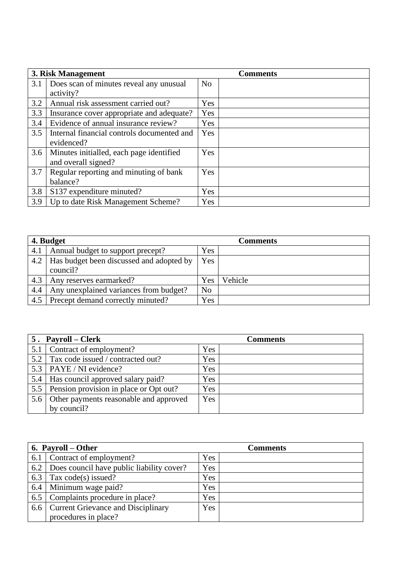|     | 3. Risk Management                         | <b>Comments</b> |  |
|-----|--------------------------------------------|-----------------|--|
| 3.1 | Does scan of minutes reveal any unusual    | N <sub>o</sub>  |  |
|     | activity?                                  |                 |  |
| 3.2 | Annual risk assessment carried out?        | Yes             |  |
| 3.3 | Insurance cover appropriate and adequate?  | Yes             |  |
| 3.4 | Evidence of annual insurance review?       | Yes             |  |
| 3.5 | Internal financial controls documented and | Yes             |  |
|     | evidenced?                                 |                 |  |
| 3.6 | Minutes initialled, each page identified   | Yes             |  |
|     | and overall signed?                        |                 |  |
| 3.7 | Regular reporting and minuting of bank     | Yes             |  |
|     | balance?                                   |                 |  |
| 3.8 | S137 expenditure minuted?                  | Yes             |  |
| 3.9 | Up to date Risk Management Scheme?         | Yes             |  |

| 4. Budget |                                          |                | <b>Comments</b> |
|-----------|------------------------------------------|----------------|-----------------|
| 4.1       | Annual budget to support precept?        | Yes            |                 |
| 4.2       | Has budget been discussed and adopted by | Yes            |                 |
|           | council?                                 |                |                 |
| 4.3       | Any reserves earmarked?                  | Yes            | Vehicle         |
| 4.4       | Any unexplained variances from budget?   | N <sub>o</sub> |                 |
| 4.5       | Precept demand correctly minuted?        | Yes            |                 |

|     | 5. Payroll – Clerk                         |     | <b>Comments</b> |
|-----|--------------------------------------------|-----|-----------------|
| 5.1 | Contract of employment?                    | Yes |                 |
| 5.2 | Tax code issued / contracted out?          | Yes |                 |
|     | 5.3   PAYE / NI evidence?                  | Yes |                 |
|     | 5.4   Has council approved salary paid?    | Yes |                 |
| 5.5 | Pension provision in place or Opt out?     | Yes |                 |
|     | 5.6 Other payments reasonable and approved | Yes |                 |
|     | by council?                                |     |                 |

| 6. Payroll – Other |                                           | <b>Comments</b> |  |
|--------------------|-------------------------------------------|-----------------|--|
| 6.1                | Contract of employment?                   | Yes             |  |
| 6.2                | Does council have public liability cover? | Yes             |  |
| 6.3                | Tax $code(s)$ issued?                     | Yes             |  |
| 6.4                | Minimum wage paid?                        | Yes             |  |
| 6.5                | Complaints procedure in place?            | Yes             |  |
| 6.6                | <b>Current Grievance and Disciplinary</b> | Yes             |  |
|                    | procedures in place?                      |                 |  |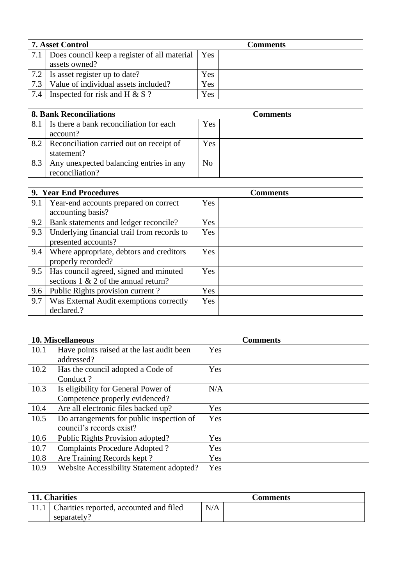| <b>7. Asset Control</b> |                                              | <b>Comments</b> |  |
|-------------------------|----------------------------------------------|-----------------|--|
| 7.1                     | Does council keep a register of all material | Yes             |  |
|                         | assets owned?                                |                 |  |
| 7.2                     | Is asset register up to date?                | Yes             |  |
| 7.3                     | Value of individual assets included?         | Yes             |  |
| 7.4                     | Inspected for risk and H $& S$ ?             | Yes             |  |

| <b>8. Bank Reconciliations</b> |                                          | <b>Comments</b> |  |
|--------------------------------|------------------------------------------|-----------------|--|
| 8.1                            | Is there a bank reconciliation for each  | Yes             |  |
|                                | account?                                 |                 |  |
| 8.2                            | Reconciliation carried out on receipt of | Yes             |  |
|                                | statement?                               |                 |  |
| 8.3                            | Any unexpected balancing entries in any  | N <sub>o</sub>  |  |
|                                | reconciliation?                          |                 |  |

|     | 9. Year End Procedures                                                            | <b>Comments</b> |
|-----|-----------------------------------------------------------------------------------|-----------------|
| 9.1 | Year-end accounts prepared on correct<br>accounting basis?                        | Yes             |
| 9.2 | Bank statements and ledger reconcile?                                             | Yes             |
| 9.3 | Underlying financial trail from records to<br>presented accounts?                 | Yes             |
| 9.4 | Where appropriate, debtors and creditors<br>properly recorded?                    | Yes             |
| 9.5 | Has council agreed, signed and minuted<br>sections $1 \& 2$ of the annual return? | Yes             |
| 9.6 | Public Rights provision current?                                                  | Yes             |
| 9.7 | Was External Audit exemptions correctly<br>declared.?                             | Yes             |

|      | <b>10. Miscellaneous</b>                  | <b>Comments</b> |
|------|-------------------------------------------|-----------------|
| 10.1 | Have points raised at the last audit been | Yes             |
|      | addressed?                                |                 |
| 10.2 | Has the council adopted a Code of         | Yes             |
|      | Conduct?                                  |                 |
| 10.3 | Is eligibility for General Power of       | N/A             |
|      | Competence properly evidenced?            |                 |
| 10.4 | Are all electronic files backed up?       | Yes             |
| 10.5 | Do arrangements for public inspection of  | Yes             |
|      | council's records exist?                  |                 |
| 10.6 | Public Rights Provision adopted?          | Yes             |
| 10.7 | <b>Complaints Procedure Adopted?</b>      | Yes             |
| 10.8 | Are Training Records kept?                | Yes             |
| 10.9 | Website Accessibility Statement adopted?  | Yes             |

| 11. Charities |                                              |     | Comments |
|---------------|----------------------------------------------|-----|----------|
|               | 11.1 Charities reported, accounted and filed | N/A |          |
|               | separately?                                  |     |          |